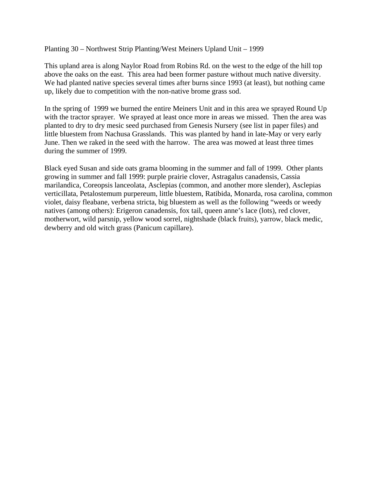Planting 30 – Northwest Strip Planting/West Meiners Upland Unit – 1999

This upland area is along Naylor Road from Robins Rd. on the west to the edge of the hill top above the oaks on the east. This area had been former pasture without much native diversity. We had planted native species several times after burns since 1993 (at least), but nothing came up, likely due to competition with the non-native brome grass sod.

In the spring of 1999 we burned the entire Meiners Unit and in this area we sprayed Round Up with the tractor sprayer. We sprayed at least once more in areas we missed. Then the area was planted to dry to dry mesic seed purchased from Genesis Nursery (see list in paper files) and little bluestem from Nachusa Grasslands. This was planted by hand in late-May or very early June. Then we raked in the seed with the harrow. The area was mowed at least three times during the summer of 1999.

Black eyed Susan and side oats grama blooming in the summer and fall of 1999. Other plants growing in summer and fall 1999: purple prairie clover, Astragalus canadensis, Cassia marilandica, Coreopsis lanceolata, Asclepias (common, and another more slender), Asclepias verticillata, Petalostemum purpereum, little bluestem, Ratibida, Monarda, rosa carolina, common violet, daisy fleabane, verbena stricta, big bluestem as well as the following "weeds or weedy natives (among others): Erigeron canadensis, fox tail, queen anne's lace (lots), red clover, motherwort, wild parsnip, yellow wood sorrel, nightshade (black fruits), yarrow, black medic, dewberry and old witch grass (Panicum capillare).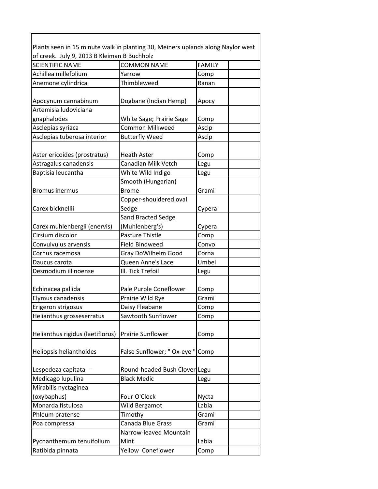Plants seen in 15 minute walk in planting 30, Meiners uplands along Naylor west of creek. July 9, 2013 B Kleiman B Buchholz

| <b>SCIENTIFIC NAME</b>                             | <b>COMMON NAME</b>            | <b>FAMILY</b> |
|----------------------------------------------------|-------------------------------|---------------|
| Achillea millefolium                               | Yarrow                        | Comp          |
| Anemone cylindrica                                 | Thimbleweed                   | Ranan         |
|                                                    |                               |               |
| Apocynum cannabinum                                | Dogbane (Indian Hemp)         | Аросу         |
| Artemisia ludoviciana                              |                               |               |
| gnaphalodes                                        | White Sage; Prairie Sage      | Comp          |
| Asclepias syriaca                                  | Common Milkweed               | Asclp         |
| Asclepias tuberosa interior                        | <b>Butterfly Weed</b>         | Asclp         |
|                                                    |                               |               |
| Aster ericoides (prostratus)                       | <b>Heath Aster</b>            | Comp          |
| Astragalus canadensis                              | Canadian Milk Vetch           | Legu          |
| Baptisia leucantha                                 | White Wild Indigo             | Legu          |
|                                                    | Smooth (Hungarian)            |               |
| <b>Bromus inermus</b>                              | <b>Brome</b>                  | Grami         |
|                                                    | Copper-shouldered oval        |               |
| Carex bicknellii                                   | Sedge                         | Cypera        |
|                                                    | Sand Bracted Sedge            |               |
| Carex muhlenbergii (enervis)                       | (Muhlenberg's)                | Cypera        |
| Cirsium discolor                                   | Pasture Thistle               | Comp          |
| Convulvulus arvensis                               | <b>Field Bindweed</b>         | Convo         |
| Cornus racemosa                                    | Gray DoWilhelm Good           | Corna         |
| Daucus carota                                      | Queen Anne's Lace             | Umbel         |
| Desmodium illinoense                               | III. Tick Trefoil             | Legu          |
|                                                    |                               |               |
| Echinacea pallida                                  | Pale Purple Coneflower        | Comp          |
| Elymus canadensis                                  | Prairie Wild Rye              | Grami         |
| Erigeron strigosus                                 | Daisy Fleabane                | Comp          |
| Helianthus grosseserratus                          | Sawtooth Sunflower            | Comp          |
|                                                    |                               |               |
| Helianthus rigidus (laetiflorus) Prairie Sunflower |                               | Comp          |
|                                                    |                               |               |
| Heliopsis helianthoides                            | False Sunflower; " Ox-eye "   | Comp          |
|                                                    |                               |               |
| Lespedeza capitata --                              | Round-headed Bush Clover Legu |               |
| Medicago lupulina                                  | <b>Black Medic</b>            | Legu          |
| Mirabilis nyctaginea                               |                               |               |
| (oxybaphus)                                        | Four O'Clock                  | Nycta         |
| Monarda fistulosa                                  | Wild Bergamot                 | Labia         |
| Phleum pratense                                    | Timothy                       | Grami         |
| Poa compressa                                      | Canada Blue Grass             | Grami         |
|                                                    | Narrow-leaved Mountain        |               |
| Pycnanthemum tenuifolium                           | Mint                          | Labia         |
| Ratibida pinnata                                   | Yellow Coneflower             | Comp          |